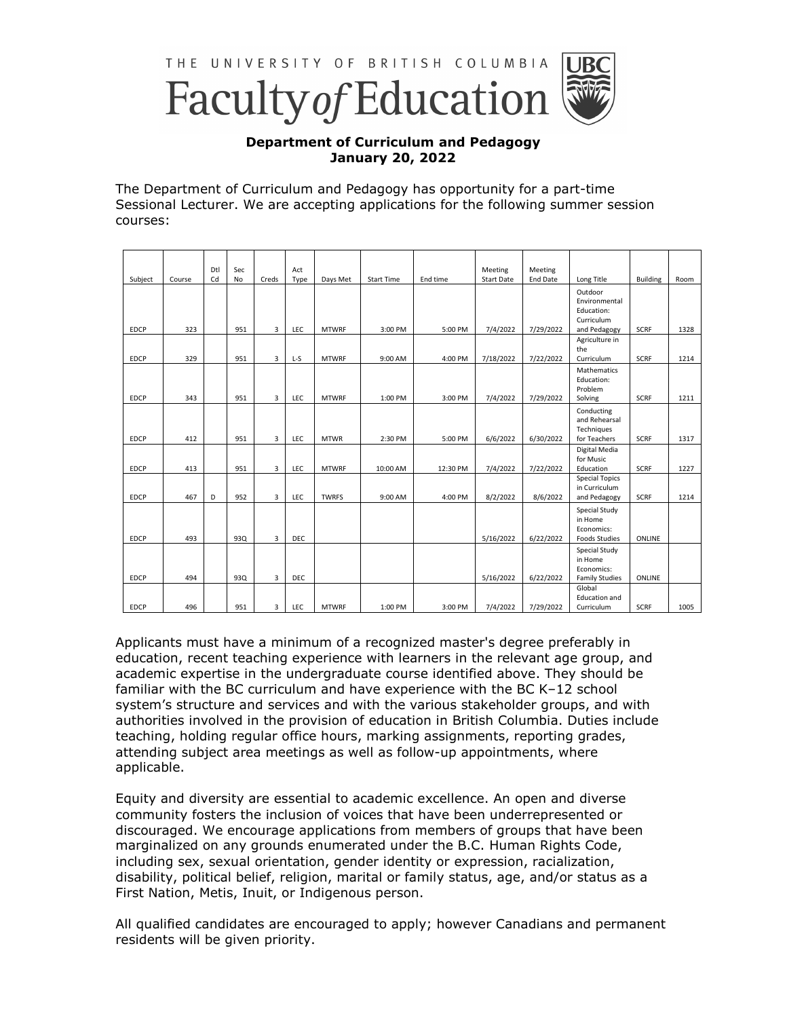

## **Department of Curriculum and Pedagogy January 20, 2022**

The Department of Curriculum and Pedagogy has opportunity for a part-time Sessional Lecturer. We are accepting applications for the following summer session courses:

| Subject     | Course | Dtl<br>Cd | Sec<br>No | Creds          | Act<br>Type | Days Met     | <b>Start Time</b> | End time | Meeting<br><b>Start Date</b> | Meeting<br>End Date | Long Title                                                      | <b>Building</b> |      |
|-------------|--------|-----------|-----------|----------------|-------------|--------------|-------------------|----------|------------------------------|---------------------|-----------------------------------------------------------------|-----------------|------|
|             |        |           |           |                |             |              |                   |          |                              |                     | Outdoor<br>Environmental<br>Education:<br>Curriculum            |                 | Room |
| <b>EDCP</b> | 323    |           | 951       | $\overline{3}$ | LEC         | <b>MTWRF</b> | 3:00 PM           | 5:00 PM  | 7/4/2022                     | 7/29/2022           | and Pedagogy                                                    | <b>SCRF</b>     | 1328 |
| <b>EDCP</b> | 329    |           | 951       | 3              | L-S         | <b>MTWRF</b> | 9:00 AM           | 4:00 PM  | 7/18/2022                    | 7/22/2022           | Agriculture in<br>the<br>Curriculum                             | <b>SCRF</b>     | 1214 |
| <b>EDCP</b> | 343    |           | 951       | $\overline{3}$ | LEC         | <b>MTWRF</b> | 1:00 PM           | 3:00 PM  | 7/4/2022                     | 7/29/2022           | Mathematics<br>Education:<br>Problem<br>Solving                 | <b>SCRF</b>     | 1211 |
| <b>EDCP</b> | 412    |           | 951       | 3              | <b>LEC</b>  | <b>MTWR</b>  | 2:30 PM           | 5:00 PM  | 6/6/2022                     | 6/30/2022           | Conducting<br>and Rehearsal<br>Techniques<br>for Teachers       | <b>SCRF</b>     | 1317 |
| <b>EDCP</b> | 413    |           | 951       | 3              | LEC         | <b>MTWRF</b> | 10:00 AM          | 12:30 PM | 7/4/2022                     | 7/22/2022           | Digital Media<br>for Music<br>Education                         | <b>SCRF</b>     | 1227 |
| <b>EDCP</b> | 467    | D         | 952       | 3              | LEC         | <b>TWRFS</b> | 9:00 AM           | 4:00 PM  | 8/2/2022                     | 8/6/2022            | <b>Special Topics</b><br>in Curriculum<br>and Pedagogy          | SCRF            | 1214 |
| <b>EDCP</b> | 493    |           | 93Q       | 3              | DEC         |              |                   |          | 5/16/2022                    | 6/22/2022           | Special Study<br>in Home<br>Economics:<br><b>Foods Studies</b>  | ONLINE          |      |
| <b>EDCP</b> | 494    |           | 930       | 3              | <b>DEC</b>  |              |                   |          | 5/16/2022                    | 6/22/2022           | Special Study<br>in Home<br>Economics:<br><b>Family Studies</b> | <b>ONLINE</b>   |      |
| <b>EDCP</b> | 496    |           | 951       | 3              | LEC         | <b>MTWRF</b> | 1:00 PM           | 3:00 PM  | 7/4/2022                     | 7/29/2022           | Global<br><b>Education and</b><br>Curriculum                    | <b>SCRF</b>     | 1005 |

Applicants must have a minimum of a recognized master's degree preferably in education, recent teaching experience with learners in the relevant age group, and academic expertise in the undergraduate course identified above. They should be familiar with the BC curriculum and have experience with the BC K–12 school system's structure and services and with the various stakeholder groups, and with authorities involved in the provision of education in British Columbia. Duties include teaching, holding regular office hours, marking assignments, reporting grades, attending subject area meetings as well as follow-up appointments, where applicable.

Equity and diversity are essential to academic excellence. An open and diverse community fosters the inclusion of voices that have been underrepresented or discouraged. We encourage applications from members of groups that have been marginalized on any grounds enumerated under the B.C. Human Rights Code, including sex, sexual orientation, gender identity or expression, racialization, disability, political belief, religion, marital or family status, age, and/or status as a First Nation, Metis, Inuit, or Indigenous person.

All qualified candidates are encouraged to apply; however Canadians and permanent residents will be given priority.